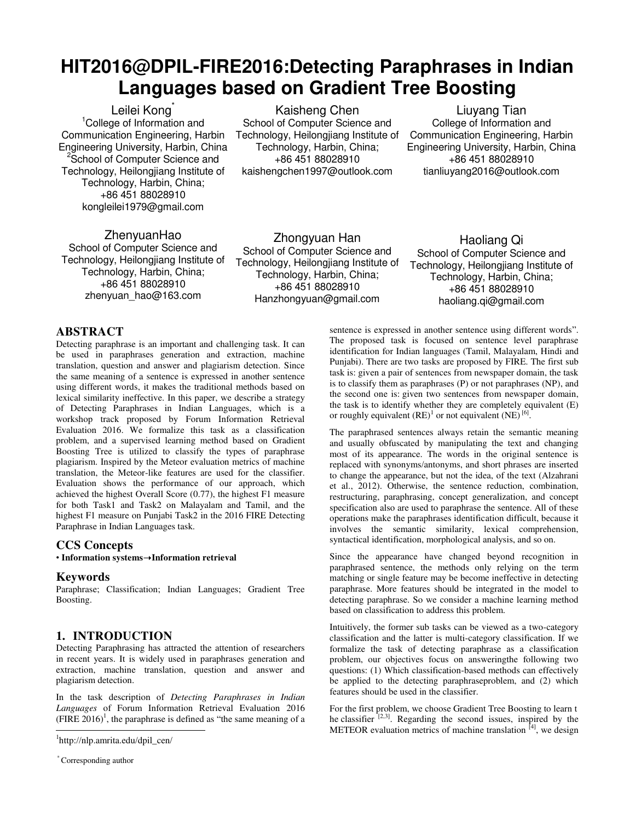# **HIT2016@DPIL-FIRE2016:Detecting Paraphrases in Indian Languages based on Gradient Tree Boosting**

Leilei Kong<sup>\*</sup> <sup>1</sup>College of Information and Communication Engineering, Harbin Engineering University, Harbin, China <sup>2</sup> School of Computer Science and Technology, Heilongjiang Institute of Technology, Harbin, China; +86 451 88028910 kongleilei1979@gmail.com

Kaisheng Chen School of Computer Science and Technology, Heilongjiang Institute of Technology, Harbin, China; +86 451 88028910 kaishengchen1997@outlook.com

Liuyang Tian College of Information and Communication Engineering, Harbin Engineering University, Harbin, China +86 451 88028910 tianliuyang2016@outlook.com

ZhenyuanHao School of Computer Science and Technology, Heilongjiang Institute of Technology, Harbin, China; +86 451 88028910 zhenyuan\_hao@163.com

Zhongyuan Han School of Computer Science and Technology, Heilongjiang Institute of Technology, Harbin, China; +86 451 88028910 Hanzhongyuan@gmail.com

Haoliang Qi School of Computer Science and Technology, Heilongjiang Institute of Technology, Harbin, China; +86 451 88028910 haoliang.qi@gmail.com

# **ABSTRACT**

Detecting paraphrase is an important and challenging task. It can be used in paraphrases generation and extraction, machine translation, question and answer and plagiarism detection. Since the same meaning of a sentence is expressed in another sentence using different words, it makes the traditional methods based on lexical similarity ineffective. In this paper, we describe a strategy of Detecting Paraphrases in Indian Languages, which is a workshop track proposed by Forum Information Retrieval Evaluation 2016. We formalize this task as a classification problem, and a supervised learning method based on Gradient Boosting Tree is utilized to classify the types of paraphrase plagiarism. Inspired by the Meteor evaluation metrics of machine translation, the Meteor-like features are used for the classifier. Evaluation shows the performance of our approach, which achieved the highest Overall Score (0.77), the highest F1 measure for both Task1 and Task2 on Malayalam and Tamil, and the highest F1 measure on Punjabi Task2 in the 2016 FIRE Detecting Paraphrase in Indian Languages task.

## **CCS Concepts**

• **Information systems**➝**Information retrieval**

## **Keywords**

Paraphrase; Classification; Indian Languages; Gradient Tree Boosting.

# **1. INTRODUCTION**

Detecting Paraphrasing has attracted the attention of researchers in recent years. It is widely used in paraphrases generation and extraction, machine translation, question and answer and plagiarism detection.

In the task description of *Detecting Paraphrases in Indian Languages* of Forum Information Retrieval Evaluation 2016  $(FIRE 2016)^1$ , the paraphrase is defined as "the same meaning of a 1

sentence is expressed in another sentence using different words". The proposed task is focused on sentence level paraphrase identification for Indian languages (Tamil, Malayalam, Hindi and Punjabi). There are two tasks are proposed by FIRE. The first sub task is: given a pair of sentences from newspaper domain, the task is to classify them as paraphrases (P) or not paraphrases (NP), and the second one is: given two sentences from newspaper domain, the task is to identify whether they are completely equivalent (E) or roughly equivalent  $(RE)^1$  $(RE)^1$  $(RE)^1$  or not equivalent  $(NE)^{60}$ .

The paraphrased sentences always retain the semantic meaning and usually obfuscated by manipulating the text and changing most of its appearance. The words in the original sentence is replaced with synonyms/antonyms, and short phrases are inserted to change the appearance, but not the idea, of the text (Alzahrani et al., 2012). Otherwise, the sentence reduction, combination, restructuring, paraphrasing, concept generalization, and concept specification also are used to paraphrase the sentence. All of these operations make the paraphrases identification difficult, because it involves the semantic similarity, lexical comprehension, syntactical identification, morphological analysis, and so on.

Since the appearance have changed beyond recognition in paraphrased sentence, the methods only relying on the term matching or single feature may be become ineffective in detecting paraphrase. More features should be integrated in the model to detecting paraphrase. So we consider a machine learning method based on classification to address this problem.

Intuitively, the former sub tasks can be viewed as a two-category classification and the latter is multi-category classification. If we formalize the task of detecting paraphrase as a classification problem, our objectives focus on answeringthe following two questions: (1) Which classification-based methods can effectively be applied to the detecting paraphraseproblem, and (2) which features should be used in the classifier.

For the first problem, we choose Gradient Tree Boosting to learn t he classifier  $[2,3]$ . Regarding the second issues, inspired by the METEOR evaluation metrics of machine translation  $[4]$ , we design

<span id="page-0-0"></span><sup>1</sup> http://nlp.amrita.edu/dpil\_cen/

<sup>\*</sup> Corresponding author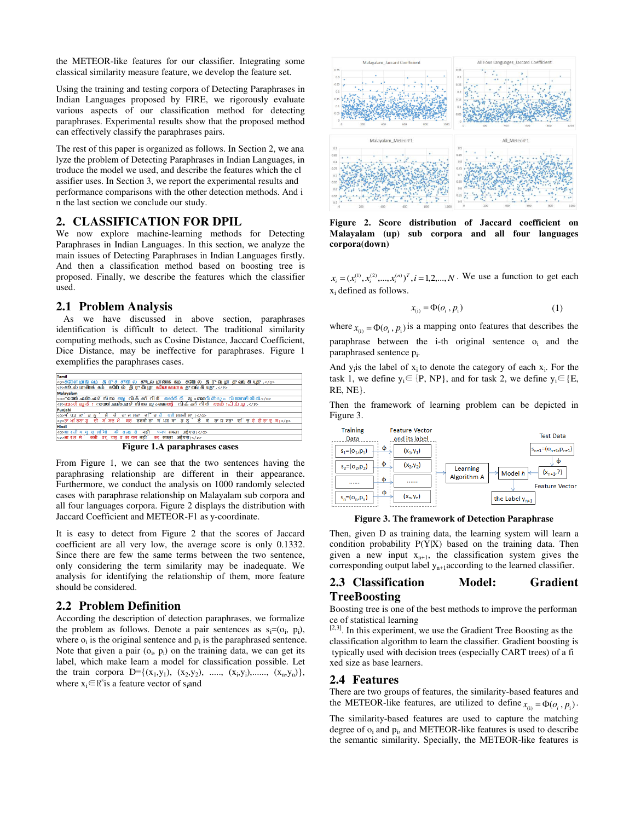the METEOR-like features for our classifier. Integrating some classical similarity measure feature, we develop the feature set.

Using the training and testing corpora of Detecting Paraphrases in Indian Languages proposed by FIRE, we rigorously evaluate various aspects of our classification method for detecting paraphrases. Experimental results show that the proposed method can effectively classify the paraphrases pairs.

The rest of this paper is organized as follows. In Section 2, we ana lyze the problem of Detecting Paraphrases in Indian Languages, in troduce the model we used, and describe the features which the cl assifier uses. In Section 3, we report the experimental results and performance comparisons with the other detection methods. And i n the last section we conclude our study.

## **2. CLASSIFICATION FOR DPIL**

We now explore machine-learning methods for Detecting Paraphrases in Indian Languages. In this section, we analyze the main issues of Detecting Paraphrases in Indian Languages firstly. And then a classification method based on boosting tree is proposed. Finally, we describe the features which the classifier used.

## **2.1 Problem Analysis**

 As we have discussed in above section, paraphrases identification is difficult to detect. The traditional similarity computing methods, such as Cosine Distance, Jaccard Coefficient, Dice Distance, may be ineffective for paraphrases. Figure 1 exemplifies the paraphrases cases.



**Figure 1.A paraphrases cases** 

From Figure 1, we can see that the two sentences having the paraphrasing relationship are different in their appearance. Furthermore, we conduct the analysis on 1000 randomly selected cases with paraphrase relationship on Malayalam sub corpora and all four languages corpora. Figure 2 displays the distribution with Jaccard Coefficient and METEOR-F1 as y-coordinate.

It is easy to detect from Figure 2 that the scores of Jaccard coefficient are all very low, the average score is only 0.1332. Since there are few the same terms between the two sentence, only considering the term similarity may be inadequate. We analysis for identifying the relationship of them, more feature should be considered.

#### **2.2 Problem Definition**

According the description of detection paraphrases, we formalize the problem as follows. Denote a pair sentences as  $s_i = (o_i, p_i)$ , where  $o_i$  is the original sentence and  $p_i$  is the paraphrased sentence. Note that given a pair  $(o_i, p_i)$  on the training data, we can get its label, which make learn a model for classification possible. Let the train corpora  $D = \{(x_1,y_1), (x_2,y_2), \ldots, (x_i,y_i), \ldots, (x_n,y_n)\},\$ where  $x_i \in R^n$  is a feature vector of s<sub>i</sub>and



**Figure 2. Score distribution of Jaccard coefficient on Malayalam (up) sub corpora and all four languages corpora(down)** 

 $x_i = (x_i^{(1)}, x_i^{(2)}, ..., x_i^{(n)})^T$ ,  $i = 1, 2, ..., N$ . We use a function to get each xi defined as follows.

$$
x_{(i)} = \Phi(o_i, p_i) \tag{1}
$$

where  $x_{(i)} = \Phi(o_i, p_i)$  is a mapping onto features that describes the paraphrase between the  $i$ -th original sentence  $o_i$  and the paraphrased sentence p<sup>i</sup> .

And  $y_i$  is the label of  $x_i$  to denote the category of each  $x_i$ . For the task 1, we define  $y_i \in \{P, NP\}$ , and for task 2, we define  $y_i \in \{E,$ RE, NE}.

Then the framework of learning problem can be depicted in Figure 3.



**Figure 3. The framework of Detection Paraphrase** 

Then, given D as training data, the learning system will learn a condition probability P(Y|X) based on the training data. Then given a new input  $x_{n+1}$ , the classification system gives the corresponding output label  $y_{n+1}$ according to the learned classifier.

## **2.3 Classification Model: Gradient TreeBoosting**

Boosting tree is one of the best methods to improve the performan ce of statistical learning

 $[2,3]$ . In this experiment, we use the Gradient Tree Boosting as the classification algorithm to learn the classifier. Gradient boosting is typically used with decision trees (especially CART trees) of a fi xed size as base learners.

## **2.4 Features**

There are two groups of features, the similarity-based features and the METEOR-like features, are utilized to define  $x_{(i)} = \Phi(o_i, p_i)$ .

The similarity-based features are used to capture the matching degree of  $o_i$  and  $p_i$ , and METEOR-like features is used to describe the semantic similarity. Specially, the METEOR-like features is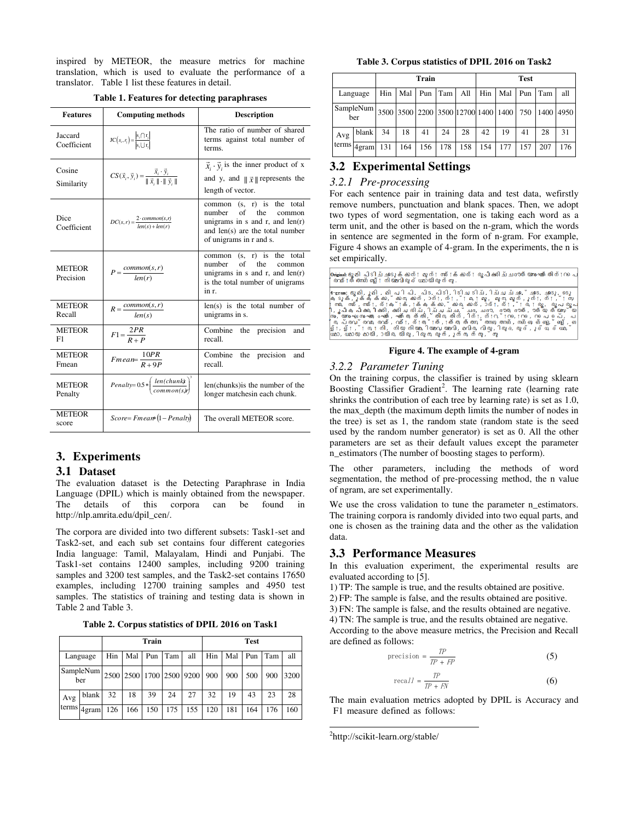inspired by METEOR, the measure metrics for machine translation, which is used to evaluate the performance of a translator. Table 1 list these features in detail.

| <b>Features</b>            | <b>Computing methods</b>                                                                                   | <b>Description</b>                                                                                                                                             |
|----------------------------|------------------------------------------------------------------------------------------------------------|----------------------------------------------------------------------------------------------------------------------------------------------------------------|
| Jaccard<br>Coefficient     | $\text{JC}\left(s_{i}, r_{j}\right) = \frac{\left s_{i} \cap r_{j}\right }{\left s_{i} \cup r_{i}\right }$ | The ratio of number of shared<br>terms against total number of<br>terms.                                                                                       |
| Cosine<br>Similarity       | $CS(\vec{x}_i, \vec{y}_i) = \frac{x_i \cdot y_i}{\ \vec{x}_i\  \cdot \ \vec{y}_i\ }$                       | $\vec{x}_i \cdot \vec{y}_i$ is the inner product of x<br>and y, and $\ \vec{x}\ $ represents the<br>length of vector.                                          |
| Dice<br>Coefficient        | $DC(s,r) = \frac{2 \cdot common(s,r)}{len(s) + len(r)}$                                                    | common (s, r) is the total<br>number<br>of<br>the<br>common<br>unigrams in s and r, and $len(r)$<br>and len(s) are the total number<br>of unigrams in r and s. |
| <b>METEOR</b><br>Precision | $P = \frac{common(s,r)}{len(r)}$                                                                           | common $(s, r)$ is the total<br>number<br>of<br>the<br>common<br>unigrams in $s$ and $r$ , and $len(r)$<br>is the total number of unigrams<br>in r.            |
| <b>METEOR</b><br>Recall    | $R = \frac{common(s, r)}{len(s)}$                                                                          | $len(s)$ is the total number of<br>unigrams in s.                                                                                                              |
| <b>METEOR</b><br>F1        | $F1 = \frac{2PR}{R+R}$                                                                                     | Combine the precision<br>and<br>recall.                                                                                                                        |
| <b>METEOR</b><br>Fmean     | $Fmean = \frac{10PR}{R+9P}$                                                                                | Combine the precision<br>and<br>recall.                                                                                                                        |
| <b>METEOR</b><br>Penalty   | $Penalty = 0.5 * \left(\frac{len(chunks)}{commantic} \right)^3$                                            | len(chunks) is the number of the<br>longer matchesin each chunk.                                                                                               |
| <b>METEOR</b><br>score     | $Score = Fmean*(1 - Penalty)$                                                                              | The overall METEOR score.                                                                                                                                      |

#### **Table 1. Features for detecting paraphrases**

## **3. Experiments**

#### **3.1 Dataset**

The evaluation dataset is the Detecting Paraphrase in India Language (DPIL) which is mainly obtained from the newspaper. The details of this corpora can be found in http://nlp.amrita.edu/dpil\_cen/.

The corpora are divided into two different subsets: Task1-set and Task2-set, and each sub set contains four different categories India language: Tamil, Malayalam, Hindi and Punjabi. The Task1-set contains 12400 samples, including 9200 training samples and 3200 test samples, and the Task2-set contains 17650 examples, including 12700 training samples and 4950 test samples. The statistics of training and testing data is shown in Table 2 and Table 3.

**Table 2. Corpus statistics of DPIL 2016 on Task1** 

|       |                  | Train |                              |     |     |     | <b>Test</b> |     |     |     |      |
|-------|------------------|-------|------------------------------|-----|-----|-----|-------------|-----|-----|-----|------|
|       | Language         | Hin   | Mal                          | Pun | Tam | all | Hin         | Mal | Pun | Tam | all  |
|       | SampleNum<br>ber |       | 2500 2500 1700 2500 9200 900 |     |     |     |             | 900 | 500 | 900 | 3200 |
| Avg   | blank            | 32    | 18                           | 39  | 24  | 27  | 32          | 19  | 43  | 23  | 28   |
| terms | 4gram            | 126   | 166                          | 150 | 175 | 155 | 120         | 181 | 164 | 176 | 160  |

**Table 3. Corpus statistics of DPIL 2016 on Task2** 

|     |                         |     | Train |     |         |                                                   |         | <b>Test</b> |     |     |     |
|-----|-------------------------|-----|-------|-----|---------|---------------------------------------------------|---------|-------------|-----|-----|-----|
|     | Language                | Hin | Mal   |     | Pun Tam | All                                               | Hin Mal |             | Pun | Tam | all |
|     | <b>SampleNum</b><br>ber |     |       |     |         | 3500 3500 2200 3500 12700 1400 1400 750 1400 4950 |         |             |     |     |     |
| Avg | blank                   | 34  | 18    | 41  | 24      | 28                                                | 42      | 19          | 41  | 28  | 31  |
|     | terms 4gram             | 131 | 164   | 156 | 178     | 158                                               | 154     | 177         | 157 | 207 | 176 |

## **3.2 Experimental Settings**

## *3.2.1 Pre-processing*

For each sentence pair in training data and test data, wefirstly remove numbers, punctuation and blank spaces. Then, we adopt two types of word segmentation, one is taking each word as a term unit, and the other is based on the n-gram, which the words in sentence are segmented in the form of n-gram. For example, Figure 4 shows an example of 4-gram. In the experiments, the n is set empirically.

| Onejinal:ഭൂമി പിടിച്ചറേുക്കാന് ; മൂന് ; സര് ;ക്കാര് ; രൂപീകരിച്ചദൗത്യ സംഘത്തിന് ; റപെ<br>രവര്⊺ത്തനങ്ങള്⊺ നിയമവിരുദ്ധമായിരുന്നു.                                                                                                                                                                                                                                                                                                                                                                                                                                                                                                    |
|------------------------------------------------------------------------------------------------------------------------------------------------------------------------------------------------------------------------------------------------------------------------------------------------------------------------------------------------------------------------------------------------------------------------------------------------------------------------------------------------------------------------------------------------------------------------------------------------------------------------------------|
| - <sub>ಆ</sub> man: ഭൂമി, ൂമി, മി പി പി , പിട, പിടി, ിടിച ടിച്, ിച്ച ച്ഛര, ` ഛദ, ഛദു, ദെൂ  <br> ക ടൂക്, ൃക്ക് ക്കാ, ` കാന, കാന്, ാന്;, ന്; ` ! മ, ! മൂ, മൂന, മൂന്, ൂന്;, ന്;, ്! സ<br>  സര, സര്, സര്!, ര്!ക്!ക്!ക്, [ക്കുക്കാ,` കാര, കാര്,<br>ان പിക പികരികരി. കരിചരിച്ച് പല്പല് ചലാ. ഭൗത ഭൗത്. ൗത്യ ത്യസ്<br> സം,്യസംഘ സംഘത ംഘത്, ഘത്ത, ത്തി,്തിന, തിന്,ിന്⊺, ന്⊺റ,്⊺റ െ,⊺റ െ,െറ പെ പെ,്, പ<br>്ര, പ്രവ്രവര, രവര്, വര്⊺, ര്⊺ത്⊺ത്, ⊺ത്ത, ത്തന് തനങ തനങ്, നങ്ങങ്ങള,്ങള്, ങ∣<br> ള് :, ള് : , ് : നു: നി, നിയ നിയമ ിയമവ യമവി, മവിര, വിരു , ിരു ദ, രൂ ദ് , ൂ ദ് ധ് ഒ് ധ്മ, `<br> ധമാ, ധമായ മായി, ായിര, യിരു,ിരുന്രൂന്, ുന്ന ന്നൂ,്നൂ |

#### **Figure 4. The example of 4-gram**

#### *3.2.2 Parameter Tuning*

On the training corpus, the classifier is trained by using sklearn Boosting Classifier Gradient<sup>2</sup>. The learning rate (learning rate shrinks the contribution of each tree by learning rate) is set as 1.0, the max\_depth (the maximum depth limits the number of nodes in the tree) is set as 1, the random state (random state is the seed used by the random number generator) is set as 0. All the other parameters are set as their default values except the parameter n\_estimators (The number of boosting stages to perform).

The other parameters, including the methods of word segmentation, the method of pre-processing method, the n value of ngram, are set experimentally.

We use the cross validation to tune the parameter n\_estimators. The training corpora is randomly divided into two equal parts, and one is chosen as the training data and the other as the validation data.

## **3.3 Performance Measures**

In this evaluation experiment, the experimental results are evaluated according to [5].

1) TP: The sample is true, and the results obtained are positive.

2) FP: The sample is false, and the results obtained are positive.

3) FN: The sample is false, and the results obtained are negative.

4) TN: The sample is true, and the results obtained are negative.

According to the above measure metrics, the Precision and Recall are defined as follows:

$$
precision = \frac{TP}{TP + FP}
$$
 (5)

$$
\text{recall} = \frac{TP}{TP + FN} \tag{6}
$$

The main evaluation metrics adopted by DPIL is Accuracy and F1 measure defined as follows:

<sup>2</sup>http://scikit-learn.org/stable/

 $\overline{a}$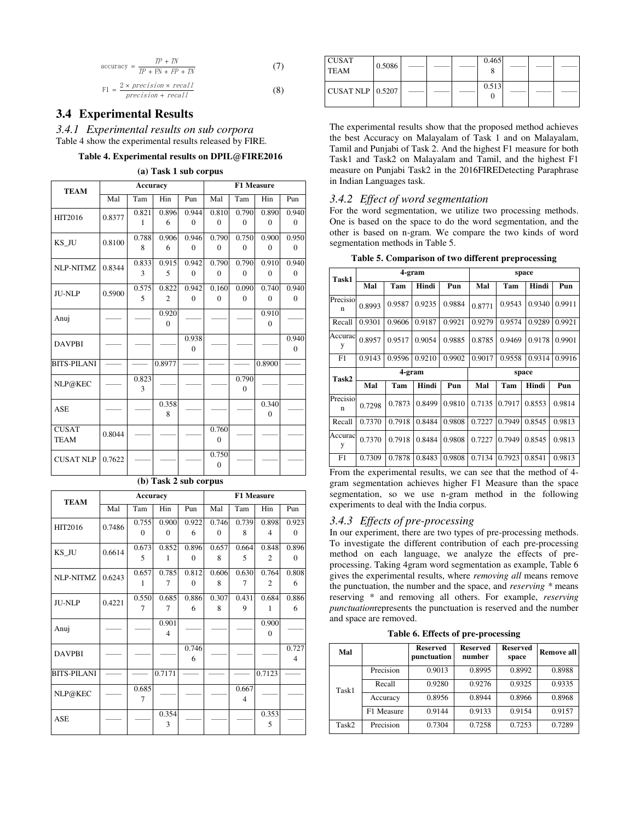accuracy = 
$$
\frac{TP + TN}{TP + FN + FP + TN}
$$
 (7)

$$
F1 = \frac{2 \times precision \times recall}{precision + recall}
$$
 (8)

# **3.4 Experimental Results**

*3.4.1 Experimental results on sub corpora*  Table 4 show the experimental results released by FIRE.

#### **Table 4. Experimental results on DPIL@FIRE2016**

#### **(a) Task 1 sub corpus**

| <b>TEAM</b>        |        | Accuracy |                    |              | <b>F1 Measure</b> |              |              |              |
|--------------------|--------|----------|--------------------|--------------|-------------------|--------------|--------------|--------------|
|                    | Mal    | Tam      | Hin                | Pun          | Mal               | Tam          | Hin          | Pun          |
| <b>HIT2016</b>     | 0.8377 | 0.821    | 0.896              | 0.944        | 0.810             | 0.790        | 0.890        | 0.940        |
|                    |        | 1        | 6                  | $\theta$     | $\mathbf{0}$      | $\mathbf{0}$ | $\mathbf{0}$ | $\mathbf{0}$ |
| KS_JU              | 0.8100 | 0.788    | 0.906              | 0.946        | 0.790             | 0.750        | 0.900        | 0.950        |
|                    |        | 8        | 6                  | $\mathbf{0}$ | $\mathbf{0}$      | $\mathbf{0}$ | $\mathbf{0}$ | $\mathbf{0}$ |
| NLP-NITMZ          | 0.8344 | 0.833    | $\overline{0.915}$ | 0.942        | 0.790             | 0.790        | 0.910        | 0.940        |
|                    |        | 3        | 5                  | $\theta$     | $\Omega$          | $\theta$     | $\Omega$     | $\Omega$     |
| <b>JU-NLP</b>      | 0.5900 | 0.575    | 0.822              | 0.942        | 0.160             | 0.090        | 0.740        | 0.940        |
|                    |        | 5        | $\overline{2}$     | $\Omega$     | $\Omega$          | $\theta$     | $\mathbf{0}$ | $\Omega$     |
| Anuj               |        |          | 0.920              |              |                   |              | 0.910        |              |
|                    |        |          | $\theta$           |              |                   |              | $\theta$     |              |
| <b>DAVPBI</b>      |        |          |                    | 0.938        |                   |              |              | 0.940        |
|                    |        |          |                    | $\theta$     |                   |              |              | $\mathbf{0}$ |
| <b>BITS-PILANI</b> |        |          | 0.8977             |              |                   |              | 0.8900       |              |
| NLP@KEC            |        | 0.823    |                    |              |                   | 0.790        |              |              |
|                    |        | 3        |                    |              |                   | $\theta$     |              |              |
| <b>ASE</b>         |        |          | 0.358              |              |                   |              | 0.340        |              |
|                    |        |          | 8                  |              |                   |              | $\mathbf{0}$ |              |
| <b>CUSAT</b>       | 0.8044 |          |                    |              | 0.760             |              |              |              |
| <b>TEAM</b>        |        |          |                    |              | $\mathbf{0}$      |              |              |              |
| <b>CUSAT NLP</b>   | 0.7622 |          |                    |              | 0.750             |              |              |              |
|                    |        |          |                    |              | $\mathbf{0}$      |              |              |              |

#### **(b) Task 2 sub corpus**

| <b>TEAM</b>        |        | Accuracy |                         |          |          | F1 Measure               |                |                |
|--------------------|--------|----------|-------------------------|----------|----------|--------------------------|----------------|----------------|
|                    | Mal    | Tam      | Hin                     | Pun      | Mal      | Tam                      | Hin            | Pun            |
| <b>HIT2016</b>     | 0.7486 | 0.755    | 0.900                   | 0.922    | 0.746    | 0.739                    | 0.898          | 0.923          |
|                    |        | $\Omega$ | $\Omega$                | 6        | $\Omega$ | 8                        | $\overline{4}$ | $\Omega$       |
| KS JU              | 0.6614 | 0.673    | 0.852                   | 0.896    | 0.657    | 0.664                    | 0.848          | 0.896          |
|                    |        | 5        | 1                       | $\Omega$ | 8        | 5                        | $\mathfrak{2}$ | $\theta$       |
| NLP-NITMZ          | 0.6243 | 0.657    | 0.785                   | 0.812    | 0.606    | 0.630                    | 0.764          | 0.808          |
|                    |        | 1        | 7                       | $\Omega$ | 8        | 7                        | $\mathfrak{2}$ | 6              |
| <b>JU-NLP</b>      | 0.4221 | 0.550    | 0.685                   | 0.886    | 0.307    | 0.431                    | 0.684          | 0.886          |
|                    |        | 7        | 7                       | 6        | 8        | 9                        | 1              | 6              |
| Anuj               |        |          | 0.901                   |          |          |                          | 0.900          |                |
|                    |        |          | $\overline{\mathbf{4}}$ |          |          |                          | $\theta$       |                |
| <b>DAVPBI</b>      |        |          |                         | 0.746    |          |                          |                | 0.727          |
|                    |        |          |                         | 6        |          |                          |                | $\overline{4}$ |
| <b>BITS-PILANI</b> |        |          | 0.7171                  |          |          |                          | 0.7123         |                |
| NLP@KEC            |        | 0.685    |                         |          |          | 0.667                    |                |                |
|                    |        | 7        |                         |          |          | $\overline{\mathcal{A}}$ |                |                |
| <b>ASE</b>         |        |          | 0.354                   |          |          |                          | 0.353          |                |
|                    |        |          | 3                       |          |          |                          | 5              |                |

| <b>CUSAT</b><br><b>TEAM</b>    | 0.5086 |  | 0.465<br>o |  |  |
|--------------------------------|--------|--|------------|--|--|
| CUSAT NLP $\vert 0.5207 \vert$ |        |  | 0.513      |  |  |

The experimental results show that the proposed method achieves the best Accuracy on Malayalam of Task 1 and on Malayalam, Tamil and Punjabi of Task 2. And the highest F1 measure for both Task1 and Task2 on Malayalam and Tamil, and the highest F1 measure on Punjabi Task2 in the 2016FIREDetecting Paraphrase in Indian Languages task.

#### *3.4.2 Effect of word segmentation*

For the word segmentation, we utilize two processing methods. One is based on the space to do the word segmentation, and the other is based on n-gram. We compare the two kinds of word segmentation methods in Table 5.

| Task1                   |        | 4-gram |        |        |        |        | space  |        |  |
|-------------------------|--------|--------|--------|--------|--------|--------|--------|--------|--|
|                         | Mal    | Tam    | Hindi  | Pun    | Mal    | Tam    | Hindi  | Pun    |  |
| Precisio<br>n           | 0.8993 | 0.9587 | 0.9235 | 0.9884 | 0.8771 | 0.9543 | 0.9340 | 0.9911 |  |
| Recall                  | 0.9301 | 0.9606 | 0.9187 | 0.9921 | 0.9279 | 0.9574 | 0.9289 | 0.9921 |  |
| Accurac<br>y            | 0.8957 | 0.9517 | 0.9054 | 0.9885 | 0.8785 | 0.9469 | 0.9178 | 0.9901 |  |
| F1                      | 0.9143 | 0.9596 | 0.9210 | 0.9902 | 0.9017 | 0.9558 | 0.9314 | 0.9916 |  |
| Task2                   |        | 4-gram |        |        | space  |        |        |        |  |
|                         |        |        |        |        |        |        |        |        |  |
|                         | Mal    | Tam    | Hindi  | Pun    | Mal    | Tam    | Hindi  | Pun    |  |
| Precisio<br>$\mathbf n$ | 0.7298 | 0.7873 | 0.8499 | 0.9810 | 0.7135 | 0.7917 | 0.8553 | 0.9814 |  |
| Recall                  | 0.7370 | 0.7918 | 0.8484 | 0.9808 | 0.7227 | 0.7949 | 0.8545 | 0.9813 |  |
| Accurac<br>y            | 0.7370 | 0.7918 | 0.8484 | 0.9808 | 0.7227 | 0.7949 | 0.8545 | 0.9813 |  |

**Table 5. Comparison of two different preprocessing** 

From the experimental results, we can see that the method of 4 gram segmentation achieves higher F1 Measure than the space segmentation, so we use n-gram method in the following experiments to deal with the India corpus.

#### *3.4.3 Effects of pre-processing*

In our experiment, there are two types of pre-processing methods. To investigate the different contribution of each pre-processing method on each language, we analyze the effects of preprocessing. Taking 4gram word segmentation as example, Table 6 gives the experimental results, where *removing all* means remove the punctuation, the number and the space, and *reserving \** means reserving \* and removing all others. For example, *reserving punctuation*represents the punctuation is reserved and the number and space are removed.

|  |  |  |  | Table 6. Effects of pre-processing |
|--|--|--|--|------------------------------------|
|--|--|--|--|------------------------------------|

| Mal   |            | <b>Reserved</b><br>punctuation | <b>Reserved</b><br>number | <b>Reserved</b><br>space | <b>Remove all</b> |
|-------|------------|--------------------------------|---------------------------|--------------------------|-------------------|
|       | Precision  | 0.9013                         | 0.8995                    | 0.8992                   | 0.8988            |
| Task1 | Recall     | 0.9280                         | 0.9276                    | 0.9325                   | 0.9335            |
|       | Accuracy   | 0.8956                         | 0.8944                    | 0.8966                   | 0.8968            |
|       | F1 Measure | 0.9144                         | 0.9133                    | 0.9154                   | 0.9157            |
| Task2 | Precision  | 0.7304                         | 0.7258                    | 0.7253                   | 0.7289            |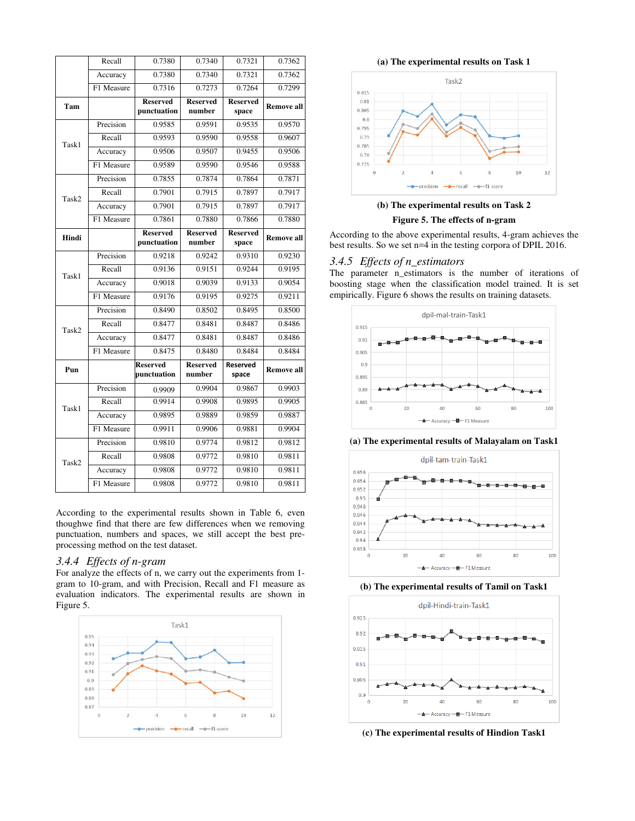|       | Recall     | 0.7380                         | 0.7340                    | 0.7321                   | 0.7362            |
|-------|------------|--------------------------------|---------------------------|--------------------------|-------------------|
|       | Accuracy   | 0.7380                         | 0.7340                    | 0.7321                   | 0.7362            |
|       | F1 Measure | 0.7316                         | 0.7273                    | 0.7264                   | 0.7299            |
| Tam   |            | <b>Reserved</b><br>punctuation | <b>Reserved</b><br>number | <b>Reserved</b><br>space | <b>Remove all</b> |
|       | Precision  | 0.9585                         | 0.9591                    | 0.9535                   | 0.9570            |
| Task1 | Recall     | 0.9593                         | 0.9590                    | 0.9558                   | 0.9607            |
|       | Accuracy   | 0.9506                         | 0.9507                    | 0.9455                   | 0.9506            |
|       | F1 Measure | 0.9589                         | 0.9590                    | 0.9546                   | 0.9588            |
|       | Precision  | 0.7855                         | 0.7874                    | 0.7864                   | 0.7871            |
| Task2 | Recall     | 0.7901                         | 0.7915                    | 0.7897                   | 0.7917            |
|       | Accuracy   | 0.7901                         | 0.7915                    | 0.7897                   | 0.7917            |
|       | F1 Measure | 0.7861                         | 0.7880                    | 0.7866                   | 0.7880            |
| Hindi |            | <b>Reserved</b><br>punctuation | <b>Reserved</b><br>number | <b>Reserved</b><br>space | <b>Remove all</b> |
|       | Precision  | 0.9218                         | 0.9242                    | 0.9310                   | 0.9230            |
|       | Recall     | 0.9136                         | 0.9151                    | 0.9244                   | 0.9195            |
| Task1 | Accuracy   | 0.9018                         | 0.9039                    | 0.9133                   | 0.9054            |
|       | F1 Measure | 0.9176                         | 0.9195                    | 0.9275                   | 0.9211            |
|       | Precision  | 0.8490                         | 0.8502                    | 0.8495                   | 0.8500            |
|       | Recall     | 0.8477                         | 0.8481                    | 0.8487                   | 0.8486            |
| Task2 | Accuracy   | 0.8477                         | 0.8481                    | 0.8487                   | 0.8486            |
|       | F1 Measure | 0.8475                         | 0.8480                    | 0.8484                   | 0.8484            |
| Pun   |            | <b>Reserved</b><br>punctuation | <b>Reserved</b><br>number | Reserved<br>space        | <b>Remove all</b> |
|       | Precision  | 0.9909                         | 0.9904                    | 0.9867                   | 0.9903            |
|       | Recall     | 0.9914                         | 0.9908                    | 0.9895                   | 0.9905            |
| Task1 | Accuracy   | 0.9895                         | 0.9889                    | 0.9859                   | 0.9887            |
|       | F1 Measure | 0.9911                         | 0.9906                    | 0.9881                   | 0.9904            |
|       | Precision  | 0.9810                         | 0.9774                    | 0.9812                   | 0.9812            |
| Task2 | Recall     | 0.9808                         | 0.9772                    | 0.9810                   | 0.9811            |
|       | Accuracy   | 0.9808                         | 0.9772                    | 0.9810                   | 0.9811            |
|       | F1 Measure | 0.9808                         | 0.9772                    | 0.9810                   | 0.9811            |

According to the experimental results shown in Table 6, even thoughwe find that there are few differences when we removing punctuation, numbers and spaces, we still accept the best preprocessing method on the test dataset.

#### *3.4.4 Effects of n-gram*

For analyze the effects of n, we carry out the experiments from 1 gram to 10-gram, and with Precision, Recall and F1 measure as evaluation indicators. The experimental results are shown in Figure 5.



**(a) The experimental results on Task 1** 





According to the above experimental results, 4-gram achieves the best results. So we set n=4 in the testing corpora of DPIL 2016.

#### *3.4.5 Effects of n\_estimators*

The parameter n\_estimators is the number of iterations of boosting stage when the classification model trained. It is set empirically. Figure 6 shows the results on training datasets.



**(a) The experimental results of Malayalam on Task1**



**(b) The experimental results of Tamil on Task1**



**(c) The experimental results of Hindion Task1**